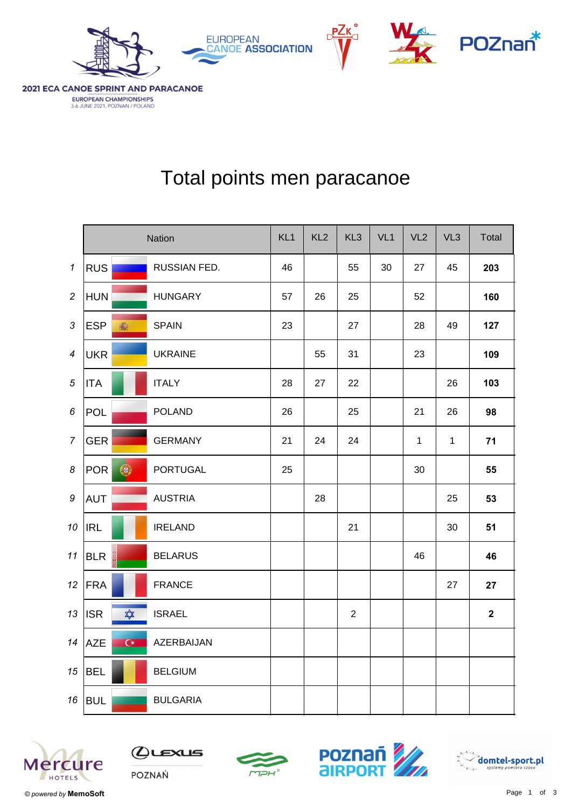

3-6 JUNE 2021, POZNAN / POLAND



## Total points men paracanoe

|                            | Nation                           |                 | KL <sub>1</sub> | KL <sub>2</sub> | KL <sub>3</sub> | VL <sub>1</sub> | VL <sub>2</sub> | VL <sub>3</sub> | Total                   |
|----------------------------|----------------------------------|-----------------|-----------------|-----------------|-----------------|-----------------|-----------------|-----------------|-------------------------|
| $\boldsymbol{\mathcal{L}}$ | <b>RUS</b>                       | RUSSIAN FED.    | 46              |                 | 55              | 30              | 27              | 45              | 203                     |
| $\overline{2}$             | <b>HUN</b>                       | <b>HUNGARY</b>  | 57              | 26              | 25              |                 | 52              |                 | 160                     |
| $\mathfrak{Z}$             | <b>ESP</b><br>瀛                  | <b>SPAIN</b>    | 23              |                 | 27              |                 | 28              | 49              | 127                     |
| $\overline{4}$             | <b>UKR</b>                       | <b>UKRAINE</b>  |                 | 55              | 31              |                 | 23              |                 | 109                     |
| $\sqrt{5}$                 | <b>ITA</b>                       | <b>ITALY</b>    | 28              | 27              | 22              |                 |                 | 26              | 103                     |
| 6                          | <b>POL</b>                       | <b>POLAND</b>   | 26              |                 | 25              |                 | 21              | 26              | 98                      |
| $\overline{7}$             | <b>GER</b>                       | <b>GERMANY</b>  | 21              | 24              | 24              |                 | $\mathbf{1}$    | $\mathbf{1}$    | 71                      |
| $\boldsymbol{8}$           | $\bigcirc$<br><b>POR</b>         | <b>PORTUGAL</b> | 25              |                 |                 |                 | 30              |                 | 55                      |
| $\boldsymbol{9}$           | AUT                              | <b>AUSTRIA</b>  |                 | 28              |                 |                 |                 | 25              | 53                      |
|                            | $10$   IRL                       | <b>IRELAND</b>  |                 |                 | 21              |                 |                 | 30              | 51                      |
|                            | 11 BLR                           | <b>BELARUS</b>  |                 |                 |                 |                 | 46              |                 | 46                      |
|                            | 12 $ FRA$                        | <b>FRANCE</b>   |                 |                 |                 |                 |                 | 27              | 27                      |
|                            | $\frac{1}{\sqrt{2}}$<br>$13$ ISR | <b>ISRAEL</b>   |                 |                 | $\overline{2}$  |                 |                 |                 | $\overline{\mathbf{2}}$ |
|                            | 14 $AZE$<br>$C^*$                | AZERBAIJAN      |                 |                 |                 |                 |                 |                 |                         |
|                            | $15$ BEL                         | <b>BELGIUM</b>  |                 |                 |                 |                 |                 |                 |                         |
|                            | $16$ BUL                         | <b>BULGARIA</b> |                 |                 |                 |                 |                 |                 |                         |









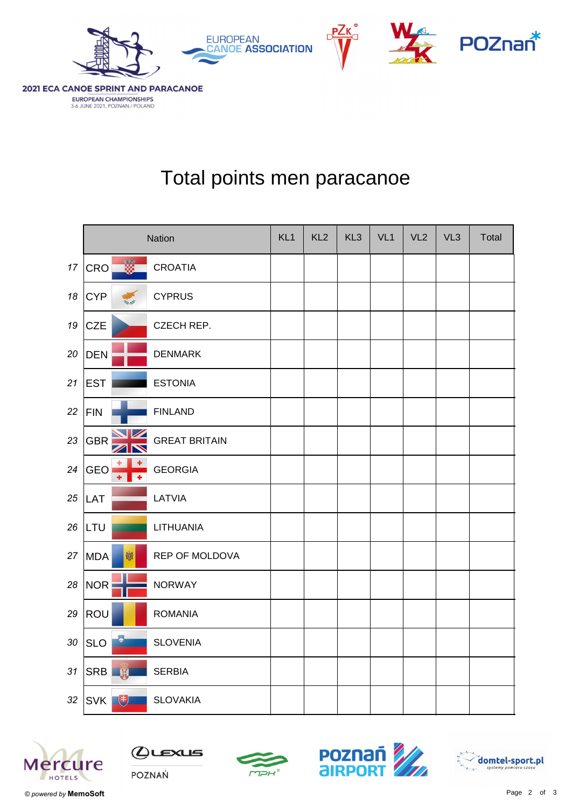

3-6 JUNE 2021, POZNAN / POLAND



## Total points men paracanoe

|    | <b>Nation</b>                          |                      | KL <sub>1</sub> | KL <sub>2</sub> | KL <sub>3</sub> | VL <sub>1</sub> | VL <sub>2</sub> | VL3 | Total |
|----|----------------------------------------|----------------------|-----------------|-----------------|-----------------|-----------------|-----------------|-----|-------|
| 17 | ▓▁<br>CRO                              | <b>CROATIA</b>       |                 |                 |                 |                 |                 |     |       |
| 18 | <b>CYP</b>                             | <b>CYPRUS</b>        |                 |                 |                 |                 |                 |     |       |
| 19 | <b>CZE</b>                             | CZECH REP.           |                 |                 |                 |                 |                 |     |       |
| 20 | <b>DEN</b>                             | <b>DENMARK</b>       |                 |                 |                 |                 |                 |     |       |
| 21 | <b>EST</b>                             | <b>ESTONIA</b>       |                 |                 |                 |                 |                 |     |       |
| 22 | <b>FIN</b>                             | <b>FINLAND</b>       |                 |                 |                 |                 |                 |     |       |
| 23 | <b>GBR</b><br>$\overline{\phantom{0}}$ | <b>GREAT BRITAIN</b> |                 |                 |                 |                 |                 |     |       |
| 24 | <b>GEO</b><br>٠                        | <b>GEORGIA</b>       |                 |                 |                 |                 |                 |     |       |
| 25 | LAT                                    | LATVIA               |                 |                 |                 |                 |                 |     |       |
| 26 | LTU                                    | LITHUANIA            |                 |                 |                 |                 |                 |     |       |
| 27 | <b>MDA</b><br>咖                        | REP OF MOLDOVA       |                 |                 |                 |                 |                 |     |       |
| 28 | <b>NOR</b>                             | <b>NORWAY</b>        |                 |                 |                 |                 |                 |     |       |
| 29 | ROU                                    | <b>ROMANIA</b>       |                 |                 |                 |                 |                 |     |       |
| 30 | $\bullet$<br><b>SLO</b>                | <b>SLOVENIA</b>      |                 |                 |                 |                 |                 |     |       |
| 31 | SRB W                                  | <b>SERBIA</b>        |                 |                 |                 |                 |                 |     |       |
| 32 | SVK <sup>+</sup>                       | <b>SLOVAKIA</b>      |                 |                 |                 |                 |                 |     |       |